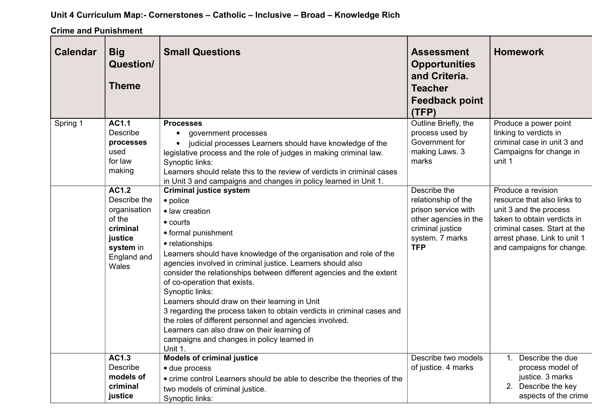## **Unit 4 Curriculum Map:- Cornerstones – Catholic – Inclusive – Broad – Knowledge Rich**

**Crime and Punishment**

| <b>Calendar</b> | <b>Big</b><br><b>Question/</b><br><b>Theme</b>                                                                                  | <b>Small Questions</b>                                                                                                                                                                                                                                                                                                                                                                                                                                                                                                                                                                                                                                                                    | <b>Assessment</b><br><b>Opportunities</b><br>and Criteria.<br><b>Teacher</b><br><b>Feedback point</b><br>(TFP)                           | <b>Homework</b>                                                                                                                                                                                         |
|-----------------|---------------------------------------------------------------------------------------------------------------------------------|-------------------------------------------------------------------------------------------------------------------------------------------------------------------------------------------------------------------------------------------------------------------------------------------------------------------------------------------------------------------------------------------------------------------------------------------------------------------------------------------------------------------------------------------------------------------------------------------------------------------------------------------------------------------------------------------|------------------------------------------------------------------------------------------------------------------------------------------|---------------------------------------------------------------------------------------------------------------------------------------------------------------------------------------------------------|
| Spring 1        | AC1.1<br>Describe<br>processes<br>used<br>for law<br>making                                                                     | <b>Processes</b><br>government processes<br>judicial processes Learners should have knowledge of the<br>legislative process and the role of judges in making criminal law.<br>Synoptic links:<br>Learners should relate this to the review of verdicts in criminal cases<br>in Unit 3 and campaigns and changes in policy learned in Unit 1.                                                                                                                                                                                                                                                                                                                                              | Outline Briefly, the<br>process used by<br>Government for<br>making Laws. 3<br>marks                                                     | Produce a power point<br>linking to verdicts in<br>criminal case in unit 3 and<br>Campaigns for change in<br>unit 1                                                                                     |
|                 | $\overline{AC1.2}$<br>Describe the<br>organisation<br>of the<br>criminal<br>justice<br>system in<br>England and<br><b>Wales</b> | <b>Criminal justice system</b><br>• police<br>· law creation<br>$\bullet$ courts<br>• formal punishment<br>• relationships<br>Learners should have knowledge of the organisation and role of the<br>agencies involved in criminal justice. Learners should also<br>consider the relationships between different agencies and the extent<br>of co-operation that exists.<br>Synoptic links:<br>Learners should draw on their learning in Unit<br>3 regarding the process taken to obtain verdicts in criminal cases and<br>the roles of different personnel and agencies involved.<br>Learners can also draw on their learning of<br>campaigns and changes in policy learned in<br>Unit 1. | Describe the<br>relationship of the<br>prison service with<br>other agencies in the<br>criminal justice<br>system. 7 marks<br><b>TFP</b> | Produce a revision<br>resource that also links to<br>unit 3 and the process<br>taken to obtain verdicts in<br>criminal cases. Start at the<br>arrest phase. Link to unit 1<br>and campaigns for change. |
|                 | <b>AC1.3</b><br>Describe<br>models of<br>criminal<br>justice                                                                    | <b>Models of criminal justice</b><br>• due process<br>• crime control Learners should be able to describe the theories of the<br>two models of criminal justice.<br>Synoptic links:                                                                                                                                                                                                                                                                                                                                                                                                                                                                                                       | Describe two models<br>of justice. 4 marks                                                                                               | 1. Describe the due<br>process model of<br>justice. 3 marks<br>2. Describe the key<br>aspects of the crime                                                                                              |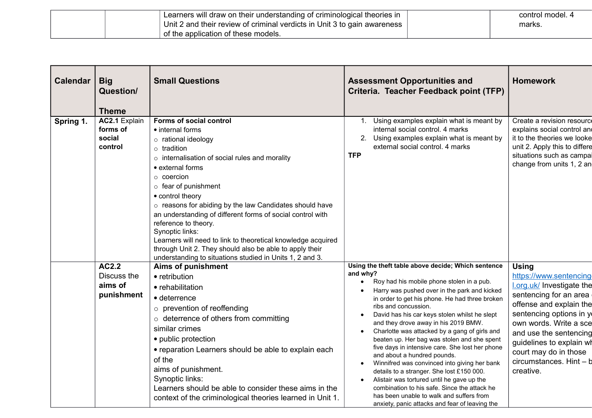| Learners will draw on their understanding of criminological theories in  | control model, 4 |
|--------------------------------------------------------------------------|------------------|
| Unit 2 and their review of criminal verdicts in Unit 3 to gain awareness | marks.           |
| of the application of these models.                                      |                  |

| <b>Calendar</b> | <b>Big</b><br>Question/<br><b>Theme</b>        | <b>Small Questions</b>                                                                                                                                                                                                                                                                                                                                                                                                                                                                                                                                                                               | <b>Assessment Opportunities and</b><br>Criteria. Teacher Feedback point (TFP)                                                                                                                                                                                                                                                                                                                                                                                                                                                                                                                                                                                                                                                                                                                                                       | <b>Homework</b>                                                                                                                                                                                                                                                                                      |
|-----------------|------------------------------------------------|------------------------------------------------------------------------------------------------------------------------------------------------------------------------------------------------------------------------------------------------------------------------------------------------------------------------------------------------------------------------------------------------------------------------------------------------------------------------------------------------------------------------------------------------------------------------------------------------------|-------------------------------------------------------------------------------------------------------------------------------------------------------------------------------------------------------------------------------------------------------------------------------------------------------------------------------------------------------------------------------------------------------------------------------------------------------------------------------------------------------------------------------------------------------------------------------------------------------------------------------------------------------------------------------------------------------------------------------------------------------------------------------------------------------------------------------------|------------------------------------------------------------------------------------------------------------------------------------------------------------------------------------------------------------------------------------------------------------------------------------------------------|
| Spring 1.       | AC2.1 Explain<br>forms of<br>social<br>control | Forms of social control<br>• internal forms<br>o rational ideology<br>$\circ$ tradition<br>o internalisation of social rules and morality<br>• external forms<br>$\circ$ coercion<br>$\circ$ fear of punishment<br>• control theory<br>$\circ$ reasons for abiding by the law Candidates should have<br>an understanding of different forms of social control with<br>reference to theory.<br>Synoptic links:<br>Learners will need to link to theoretical knowledge acquired<br>through Unit 2. They should also be able to apply their<br>understanding to situations studied in Units 1, 2 and 3. | Using examples explain what is meant by<br>1.<br>internal social control. 4 marks<br>Using examples explain what is meant by<br>external social control. 4 marks<br><b>TFP</b>                                                                                                                                                                                                                                                                                                                                                                                                                                                                                                                                                                                                                                                      | Create a revision resource<br>explains social control and<br>it to the theories we looke<br>unit 2. Apply this to differe<br>situations such as campai<br>change from units 1, 2 and                                                                                                                 |
|                 | AC2.2<br>Discuss the<br>aims of<br>punishment  | <b>Aims of punishment</b><br>• retribution<br>• rehabilitation<br>• deterrence<br>o prevention of reoffending<br>$\circ$ deterrence of others from committing<br>similar crimes<br>• public protection<br>• reparation Learners should be able to explain each<br>of the<br>aims of punishment.<br>Synoptic links:<br>Learners should be able to consider these aims in the<br>context of the criminological theories learned in Unit 1.                                                                                                                                                             | Using the theft table above decide; Which sentence<br>and why?<br>Roy had his mobile phone stolen in a pub.<br>$\bullet$<br>Harry was pushed over in the park and kicked<br>in order to get his phone. He had three broken<br>ribs and concussion.<br>David has his car keys stolen whilst he slept<br>and they drove away in his 2019 BMW.<br>Charlotte was attacked by a gang of girls and<br>beaten up. Her bag was stolen and she spent<br>five days in intensive care. She lost her phone<br>and about a hundred pounds.<br>Winnifred was convinced into giving her bank<br>$\bullet$<br>details to a stranger. She lost £150 000.<br>Alistair was tortured until he gave up the<br>combination to his safe. Since the attack he<br>has been unable to walk and suffers from<br>anxiety, panic attacks and fear of leaving the | <b>Using</b><br>https://www.sentencing<br>l.org.uk/ Investigate the<br>sentencing for an area<br>offense and explain the<br>sentencing options in y<br>own words. Write a sce<br>and use the sentencing<br>guidelines to explain wh<br>court may do in those<br>circumstances. Hint - b<br>creative. |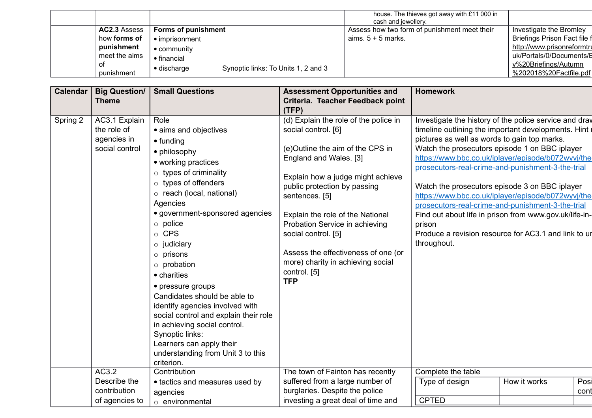|               |                     |                                     | house. The thieves got away with £11 000 in  |                              |
|---------------|---------------------|-------------------------------------|----------------------------------------------|------------------------------|
|               |                     |                                     | cash and jewellery.                          |                              |
| AC2.3 Assess  | Forms of punishment |                                     | Assess how two form of punishment meet their | Investigate the Bromley      |
| how forms of  | • imprisonment      |                                     | aims. $5 + 5$ marks.                         | Briefings Prison Fact file f |
| punishment    | • community         |                                     |                                              | http://www.prisonreformtru   |
| meet the aims | • financial         |                                     |                                              | uk/Portals/0/Documents/E     |
| ΟT            |                     | Synoptic links: To Units 1, 2 and 3 |                                              | y%20Briefings/Autumn         |
| punishment    | $\bullet$ discharge |                                     |                                              | %202018%20Factfile.pdf       |

| Calendar | <b>Big Question/</b><br><b>Theme</b>                          | <b>Small Questions</b>                                                                                                                                                                                                                                                                                                                                                                                                                                                                                                                                                                                              | <b>Assessment Opportunities and</b><br>Criteria. Teacher Feedback point<br>(TFP)                                                                                                                                                                                                                                                                                                                                         | <b>Homework</b>                                                                                                                                                                                                                                                                                                                                                                                                                                                                                                                                                                                                                      |              |      |
|----------|---------------------------------------------------------------|---------------------------------------------------------------------------------------------------------------------------------------------------------------------------------------------------------------------------------------------------------------------------------------------------------------------------------------------------------------------------------------------------------------------------------------------------------------------------------------------------------------------------------------------------------------------------------------------------------------------|--------------------------------------------------------------------------------------------------------------------------------------------------------------------------------------------------------------------------------------------------------------------------------------------------------------------------------------------------------------------------------------------------------------------------|--------------------------------------------------------------------------------------------------------------------------------------------------------------------------------------------------------------------------------------------------------------------------------------------------------------------------------------------------------------------------------------------------------------------------------------------------------------------------------------------------------------------------------------------------------------------------------------------------------------------------------------|--------------|------|
| Spring 2 | AC3.1 Explain<br>the role of<br>agencies in<br>social control | Role<br>• aims and objectives<br>$\bullet$ funding<br>• philosophy<br>• working practices<br>$\circ$ types of criminality<br>$\circ$ types of offenders<br>$\circ$ reach (local, national)<br>Agencies<br>· government-sponsored agencies<br>$\circ$ police<br>o CPS<br>$\circ$ judiciary<br>$\circ$ prisons<br>$\circ$ probation<br>• charities<br>• pressure groups<br>Candidates should be able to<br>identify agencies involved with<br>social control and explain their role<br>in achieving social control.<br>Synoptic links:<br>Learners can apply their<br>understanding from Unit 3 to this<br>criterion. | (d) Explain the role of the police in<br>social control. [6]<br>(e)Outline the aim of the CPS in<br>England and Wales. [3]<br>Explain how a judge might achieve<br>public protection by passing<br>sentences. [5]<br>Explain the role of the National<br>Probation Service in achieving<br>social control. [5]<br>Assess the effectiveness of one (or<br>more) charity in achieving social<br>control. [5]<br><b>TFP</b> | Investigate the history of the police service and drav<br>timeline outlining the important developments. Hint<br>pictures as well as words to gain top marks.<br>Watch the prosecutors episode 1 on BBC iplayer<br>https://www.bbc.co.uk/iplayer/episode/b072wyvj/the-<br>prosecutors-real-crime-and-punishment-3-the-trial<br>Watch the prosecutors episode 3 on BBC iplayer<br>https://www.bbc.co.uk/iplayer/episode/b072wyvj/the-<br>prosecutors-real-crime-and-punishment-3-the-trial<br>Find out about life in prison from www.gov.uk/life-in-<br>prison<br>Produce a revision resource for AC3.1 and link to ur<br>throughout. |              |      |
|          | AC3.2<br>Describe the                                         | Contribution<br>• tactics and measures used by                                                                                                                                                                                                                                                                                                                                                                                                                                                                                                                                                                      | The town of Fainton has recently<br>suffered from a large number of                                                                                                                                                                                                                                                                                                                                                      | Complete the table<br>Type of design                                                                                                                                                                                                                                                                                                                                                                                                                                                                                                                                                                                                 | How it works | Posi |
|          | contribution                                                  | agencies                                                                                                                                                                                                                                                                                                                                                                                                                                                                                                                                                                                                            | burglaries. Despite the police                                                                                                                                                                                                                                                                                                                                                                                           |                                                                                                                                                                                                                                                                                                                                                                                                                                                                                                                                                                                                                                      |              | cont |
|          | of agencies to                                                | $\circ$ environmental                                                                                                                                                                                                                                                                                                                                                                                                                                                                                                                                                                                               | investing a great deal of time and                                                                                                                                                                                                                                                                                                                                                                                       | <b>CPTED</b>                                                                                                                                                                                                                                                                                                                                                                                                                                                                                                                                                                                                                         |              |      |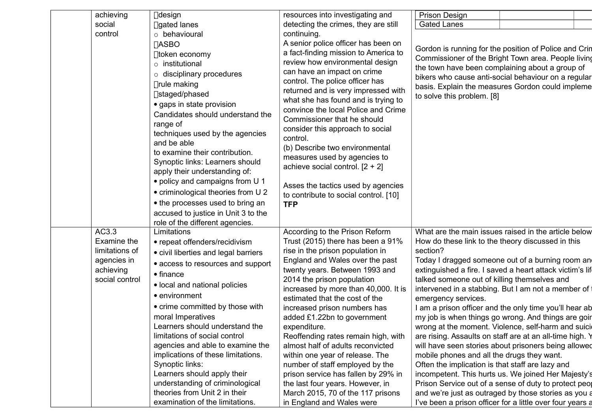| achieving      | $\Box$ design                        | resources into investigating and                                         | <b>Prison Design</b>                                                                                             |                                                  |  |  |
|----------------|--------------------------------------|--------------------------------------------------------------------------|------------------------------------------------------------------------------------------------------------------|--------------------------------------------------|--|--|
| social         | □gated lanes                         | detecting the crimes, they are still                                     | <b>Gated Lanes</b>                                                                                               |                                                  |  |  |
| control        | $\circ$ behavioural                  | continuing.                                                              |                                                                                                                  |                                                  |  |  |
|                | ∏ASBO                                | A senior police officer has been on                                      | Gordon is running for the position of Police and Crin                                                            |                                                  |  |  |
|                |                                      | a fact-finding mission to America to                                     |                                                                                                                  |                                                  |  |  |
|                | $\Box$ token economy                 | review how environmental design                                          | Commissioner of the Bright Town area. People living                                                              |                                                  |  |  |
|                | $\circ$ institutional                | can have an impact on crime                                              | the town have been complaining about a group of                                                                  |                                                  |  |  |
|                | $\circ$ disciplinary procedures      | control. The police officer has                                          | bikers who cause anti-social behaviour on a regular                                                              |                                                  |  |  |
|                | $\Box$ rule making                   | returned and is very impressed with                                      |                                                                                                                  | basis. Explain the measures Gordon could impleme |  |  |
|                | □staged/phased                       | what she has found and is trying to                                      | to solve this problem. [8]                                                                                       |                                                  |  |  |
|                | • gaps in state provision            | convince the local Police and Crime                                      |                                                                                                                  |                                                  |  |  |
|                | Candidates should understand the     | Commissioner that he should                                              |                                                                                                                  |                                                  |  |  |
|                | range of                             | consider this approach to social                                         |                                                                                                                  |                                                  |  |  |
|                | techniques used by the agencies      | control.                                                                 |                                                                                                                  |                                                  |  |  |
|                | and be able                          | (b) Describe two environmental                                           |                                                                                                                  |                                                  |  |  |
|                | to examine their contribution.       | measures used by agencies to                                             |                                                                                                                  |                                                  |  |  |
|                | Synoptic links: Learners should      | achieve social control. $[2 + 2]$                                        |                                                                                                                  |                                                  |  |  |
|                | apply their understanding of:        |                                                                          |                                                                                                                  |                                                  |  |  |
|                | · policy and campaigns from U 1      | Asses the tactics used by agencies                                       |                                                                                                                  |                                                  |  |  |
|                | • criminological theories from U 2   | to contribute to social control. [10]                                    |                                                                                                                  |                                                  |  |  |
|                | • the processes used to bring an     | <b>TFP</b>                                                               |                                                                                                                  |                                                  |  |  |
|                | accused to justice in Unit 3 to the  |                                                                          |                                                                                                                  |                                                  |  |  |
|                | role of the different agencies.      |                                                                          |                                                                                                                  |                                                  |  |  |
| AC3.3          | Limitations                          | According to the Prison Reform                                           | What are the main issues raised in the article below                                                             |                                                  |  |  |
| Examine the    | • repeat offenders/recidivism        | Trust (2015) there has been a 91%                                        | How do these link to the theory discussed in this                                                                |                                                  |  |  |
| limitations of | • civil liberties and legal barriers | rise in the prison population in                                         | section?                                                                                                         |                                                  |  |  |
| agencies in    | • access to resources and support    | England and Wales over the past                                          | Today I dragged someone out of a burning room and                                                                |                                                  |  |  |
| achieving      | $\bullet$ finance                    | twenty years. Between 1993 and                                           | extinguished a fire. I saved a heart attack victim's life                                                        |                                                  |  |  |
| social control | • local and national policies        | 2014 the prison population                                               | talked someone out of killing themselves and                                                                     |                                                  |  |  |
|                | • environment                        | increased by more than 40,000. It is                                     | intervened in a stabbing. But I am not a member of t                                                             |                                                  |  |  |
|                | • crime committed by those with      | estimated that the cost of the                                           | emergency services.                                                                                              |                                                  |  |  |
|                | moral Imperatives                    | increased prison numbers has                                             | I am a prison officer and the only time you'll hear ab                                                           |                                                  |  |  |
|                | Learners should understand the       | added £1.22bn to government                                              | my job is when things go wrong. And things are goir                                                              |                                                  |  |  |
|                | limitations of social control        | expenditure.                                                             | wrong at the moment. Violence, self-harm and suicid                                                              |                                                  |  |  |
|                | agencies and able to examine the     | Reoffending rates remain high, with<br>almost half of adults reconvicted | are rising. Assaults on staff are at an all-time high. Y<br>will have seen stories about prisoners being allowed |                                                  |  |  |
|                | implications of these limitations.   | within one year of release. The                                          | mobile phones and all the drugs they want.                                                                       |                                                  |  |  |
|                | Synoptic links:                      | number of staff employed by the                                          | Often the implication is that staff are lazy and                                                                 |                                                  |  |  |
|                | Learners should apply their          | prison service has fallen by 29% in                                      | incompetent. This hurts us. We joined Her Majesty's                                                              |                                                  |  |  |
|                | understanding of criminological      | the last four years. However, in                                         | Prison Service out of a sense of duty to protect peop                                                            |                                                  |  |  |
|                | theories from Unit 2 in their        | March 2015, 70 of the 117 prisons                                        | and we're just as outraged by those stories as you a                                                             |                                                  |  |  |
|                | examination of the limitations.      | in England and Wales were                                                | I've been a prison officer for a little over four years a                                                        |                                                  |  |  |
|                |                                      |                                                                          |                                                                                                                  |                                                  |  |  |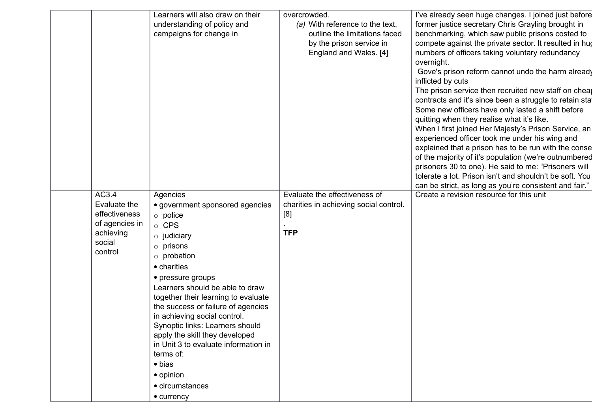|                | Learners will also draw on their                     | overcrowded.                           | I've already seen huge changes. I joined just before                                                   |
|----------------|------------------------------------------------------|----------------------------------------|--------------------------------------------------------------------------------------------------------|
|                | understanding of policy and                          | (a) With reference to the text,        | former justice secretary Chris Grayling brought in                                                     |
|                | campaigns for change in                              | outline the limitations faced          | benchmarking, which saw public prisons costed to                                                       |
|                |                                                      | by the prison service in               | compete against the private sector. It resulted in hug                                                 |
|                |                                                      | England and Wales. [4]                 | numbers of officers taking voluntary redundancy                                                        |
|                |                                                      |                                        | overnight.                                                                                             |
|                |                                                      |                                        | Gove's prison reform cannot undo the harm already                                                      |
|                |                                                      |                                        | inflicted by cuts                                                                                      |
|                |                                                      |                                        | The prison service then recruited new staff on cheap                                                   |
|                |                                                      |                                        | contracts and it's since been a struggle to retain stat                                                |
|                |                                                      |                                        | Some new officers have only lasted a shift before                                                      |
|                |                                                      |                                        | quitting when they realise what it's like.                                                             |
|                |                                                      |                                        | When I first joined Her Majesty's Prison Service, an<br>experienced officer took me under his wing and |
|                |                                                      |                                        | explained that a prison has to be run with the conse                                                   |
|                |                                                      |                                        | of the majority of it's population (we're outnumbered                                                  |
|                |                                                      |                                        | prisoners 30 to one). He said to me: "Prisoners will                                                   |
|                |                                                      |                                        | tolerate a lot. Prison isn't and shouldn't be soft. You                                                |
|                |                                                      |                                        | can be strict, as long as you're consistent and fair."                                                 |
| AC3.4          | Agencies                                             | Evaluate the effectiveness of          | Create a revision resource for this unit                                                               |
| Evaluate the   | • government sponsored agencies                      | charities in achieving social control. |                                                                                                        |
| effectiveness  | $\circ$ police                                       | [8]                                    |                                                                                                        |
| of agencies in | o CPS                                                |                                        |                                                                                                        |
| achieving      | $\circ$ judiciary                                    | <b>TFP</b>                             |                                                                                                        |
| social         | $\circ$ prisons                                      |                                        |                                                                                                        |
| control        | $\circ$ probation                                    |                                        |                                                                                                        |
|                | • charities                                          |                                        |                                                                                                        |
|                |                                                      |                                        |                                                                                                        |
|                | • pressure groups<br>Learners should be able to draw |                                        |                                                                                                        |
|                | together their learning to evaluate                  |                                        |                                                                                                        |
|                | the success or failure of agencies                   |                                        |                                                                                                        |
|                | in achieving social control.                         |                                        |                                                                                                        |
|                | Synoptic links: Learners should                      |                                        |                                                                                                        |
|                | apply the skill they developed                       |                                        |                                                                                                        |
|                | in Unit 3 to evaluate information in                 |                                        |                                                                                                        |
|                | terms of:                                            |                                        |                                                                                                        |
|                | $\bullet$ bias                                       |                                        |                                                                                                        |
|                | • opinion                                            |                                        |                                                                                                        |
|                | • circumstances                                      |                                        |                                                                                                        |
|                | • currency                                           |                                        |                                                                                                        |
|                |                                                      |                                        |                                                                                                        |